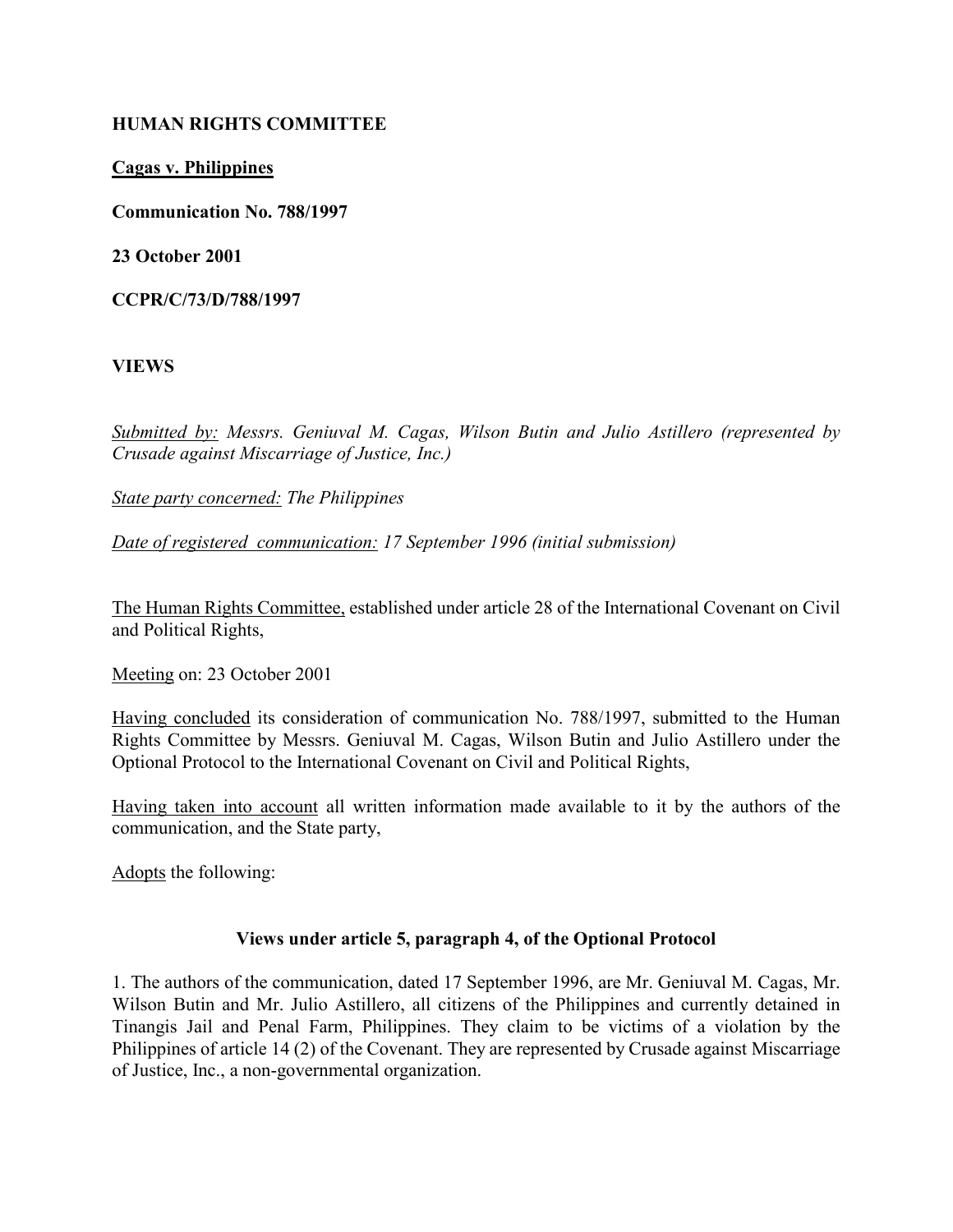#### HUMAN RIGHTS COMMITTEE

#### Cagas v. Philippines

Communication No. 788/1997

23 October 2001

CCPR/C/73/D/788/1997

VIEWS

Submitted by: Messrs. Geniuval M. Cagas, Wilson Butin and Julio Astillero (represented by Crusade against Miscarriage of Justice, Inc.)

State party concerned: The Philippines

Date of registered communication: 17 September 1996 (initial submission)

The Human Rights Committee, established under article 28 of the International Covenant on Civil and Political Rights,

Meeting on: 23 October 2001

Having concluded its consideration of communication No. 788/1997, submitted to the Human Rights Committee by Messrs. Geniuval M. Cagas, Wilson Butin and Julio Astillero under the Optional Protocol to the International Covenant on Civil and Political Rights,

Having taken into account all written information made available to it by the authors of the communication, and the State party,

Adopts the following:

#### Views under article 5, paragraph 4, of the Optional Protocol

1. The authors of the communication, dated 17 September 1996, are Mr. Geniuval M. Cagas, Mr. Wilson Butin and Mr. Julio Astillero, all citizens of the Philippines and currently detained in Tinangis Jail and Penal Farm, Philippines. They claim to be victims of a violation by the Philippines of article 14 (2) of the Covenant. They are represented by Crusade against Miscarriage of Justice, Inc., a non-governmental organization.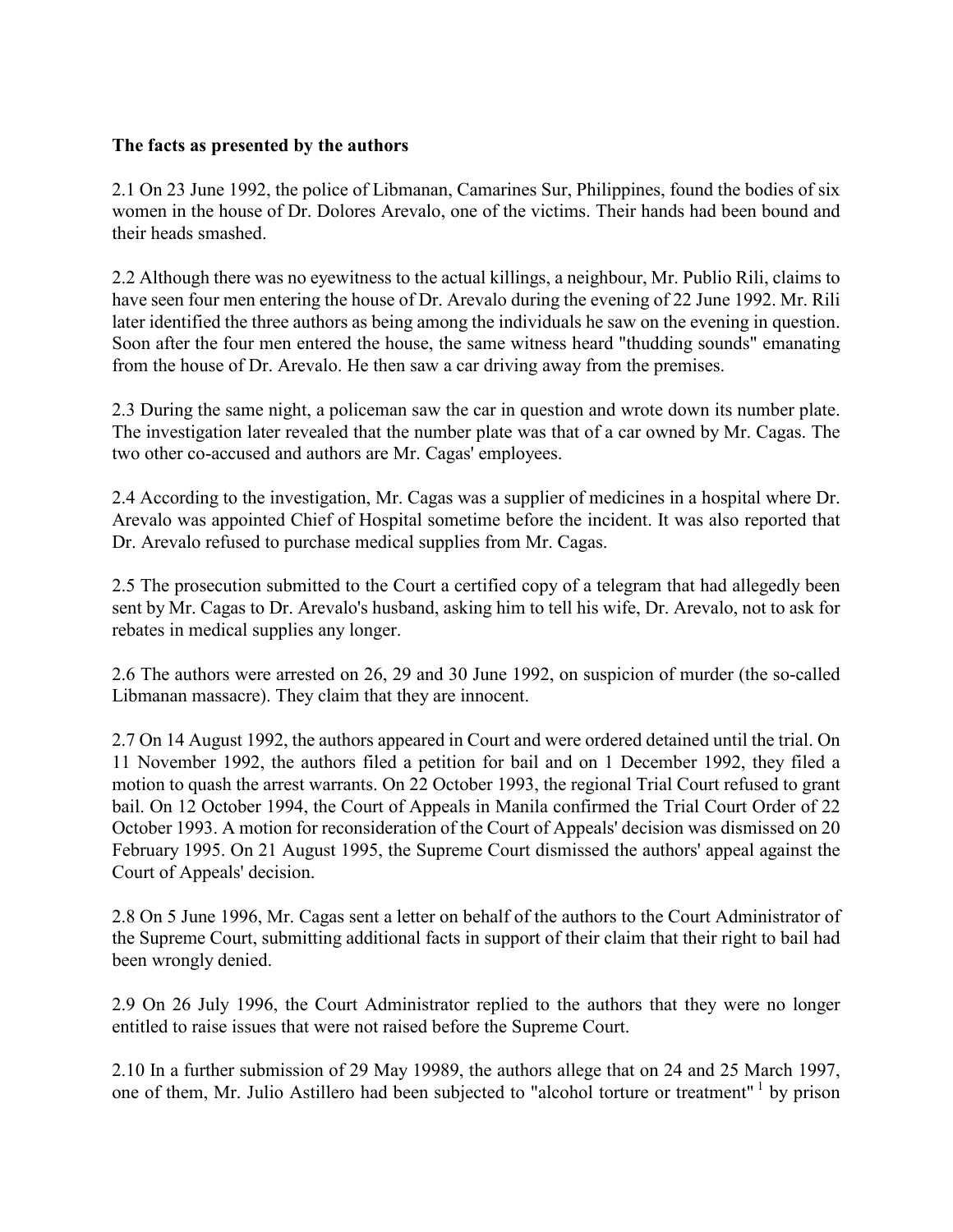#### The facts as presented by the authors

2.1 On 23 June 1992, the police of Libmanan, Camarines Sur, Philippines, found the bodies of six women in the house of Dr. Dolores Arevalo, one of the victims. Their hands had been bound and their heads smashed.

2.2 Although there was no eyewitness to the actual killings, a neighbour, Mr. Publio Rili, claims to have seen four men entering the house of Dr. Arevalo during the evening of 22 June 1992. Mr. Rili later identified the three authors as being among the individuals he saw on the evening in question. Soon after the four men entered the house, the same witness heard "thudding sounds" emanating from the house of Dr. Arevalo. He then saw a car driving away from the premises.

2.3 During the same night, a policeman saw the car in question and wrote down its number plate. The investigation later revealed that the number plate was that of a car owned by Mr. Cagas. The two other co-accused and authors are Mr. Cagas' employees.

2.4 According to the investigation, Mr. Cagas was a supplier of medicines in a hospital where Dr. Arevalo was appointed Chief of Hospital sometime before the incident. It was also reported that Dr. Arevalo refused to purchase medical supplies from Mr. Cagas.

2.5 The prosecution submitted to the Court a certified copy of a telegram that had allegedly been sent by Mr. Cagas to Dr. Arevalo's husband, asking him to tell his wife, Dr. Arevalo, not to ask for rebates in medical supplies any longer.

2.6 The authors were arrested on 26, 29 and 30 June 1992, on suspicion of murder (the so-called Libmanan massacre). They claim that they are innocent.

2.7 On 14 August 1992, the authors appeared in Court and were ordered detained until the trial. On 11 November 1992, the authors filed a petition for bail and on 1 December 1992, they filed a motion to quash the arrest warrants. On 22 October 1993, the regional Trial Court refused to grant bail. On 12 October 1994, the Court of Appeals in Manila confirmed the Trial Court Order of 22 October 1993. A motion for reconsideration of the Court of Appeals' decision was dismissed on 20 February 1995. On 21 August 1995, the Supreme Court dismissed the authors' appeal against the Court of Appeals' decision.

2.8 On 5 June 1996, Mr. Cagas sent a letter on behalf of the authors to the Court Administrator of the Supreme Court, submitting additional facts in support of their claim that their right to bail had been wrongly denied.

2.9 On 26 July 1996, the Court Administrator replied to the authors that they were no longer entitled to raise issues that were not raised before the Supreme Court.

2.10 In a further submission of 29 May 19989, the authors allege that on 24 and 25 March 1997, one of them, Mr. Julio Astillero had been subjected to "alcohol torture or treatment"<sup>1</sup> by prison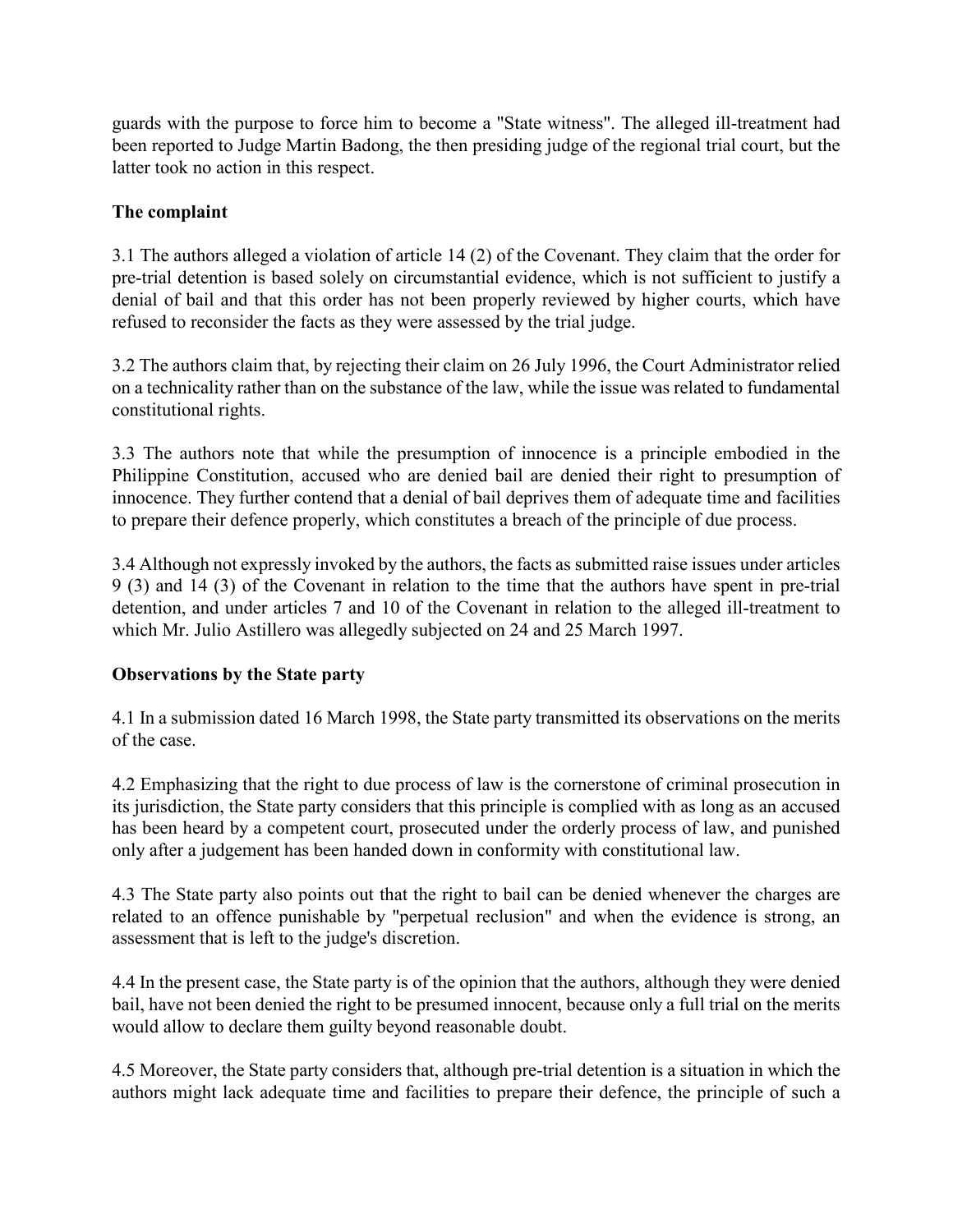guards with the purpose to force him to become a "State witness". The alleged ill-treatment had been reported to Judge Martin Badong, the then presiding judge of the regional trial court, but the latter took no action in this respect.

# The complaint

3.1 The authors alleged a violation of article 14 (2) of the Covenant. They claim that the order for pre-trial detention is based solely on circumstantial evidence, which is not sufficient to justify a denial of bail and that this order has not been properly reviewed by higher courts, which have refused to reconsider the facts as they were assessed by the trial judge.

3.2 The authors claim that, by rejecting their claim on 26 July 1996, the Court Administrator relied on a technicality rather than on the substance of the law, while the issue was related to fundamental constitutional rights.

3.3 The authors note that while the presumption of innocence is a principle embodied in the Philippine Constitution, accused who are denied bail are denied their right to presumption of innocence. They further contend that a denial of bail deprives them of adequate time and facilities to prepare their defence properly, which constitutes a breach of the principle of due process.

3.4 Although not expressly invoked by the authors, the facts as submitted raise issues under articles 9 (3) and 14 (3) of the Covenant in relation to the time that the authors have spent in pre-trial detention, and under articles 7 and 10 of the Covenant in relation to the alleged ill-treatment to which Mr. Julio Astillero was allegedly subjected on 24 and 25 March 1997.

## Observations by the State party

4.1 In a submission dated 16 March 1998, the State party transmitted its observations on the merits of the case.

4.2 Emphasizing that the right to due process of law is the cornerstone of criminal prosecution in its jurisdiction, the State party considers that this principle is complied with as long as an accused has been heard by a competent court, prosecuted under the orderly process of law, and punished only after a judgement has been handed down in conformity with constitutional law.

4.3 The State party also points out that the right to bail can be denied whenever the charges are related to an offence punishable by "perpetual reclusion" and when the evidence is strong, an assessment that is left to the judge's discretion.

4.4 In the present case, the State party is of the opinion that the authors, although they were denied bail, have not been denied the right to be presumed innocent, because only a full trial on the merits would allow to declare them guilty beyond reasonable doubt.

4.5 Moreover, the State party considers that, although pre-trial detention is a situation in which the authors might lack adequate time and facilities to prepare their defence, the principle of such a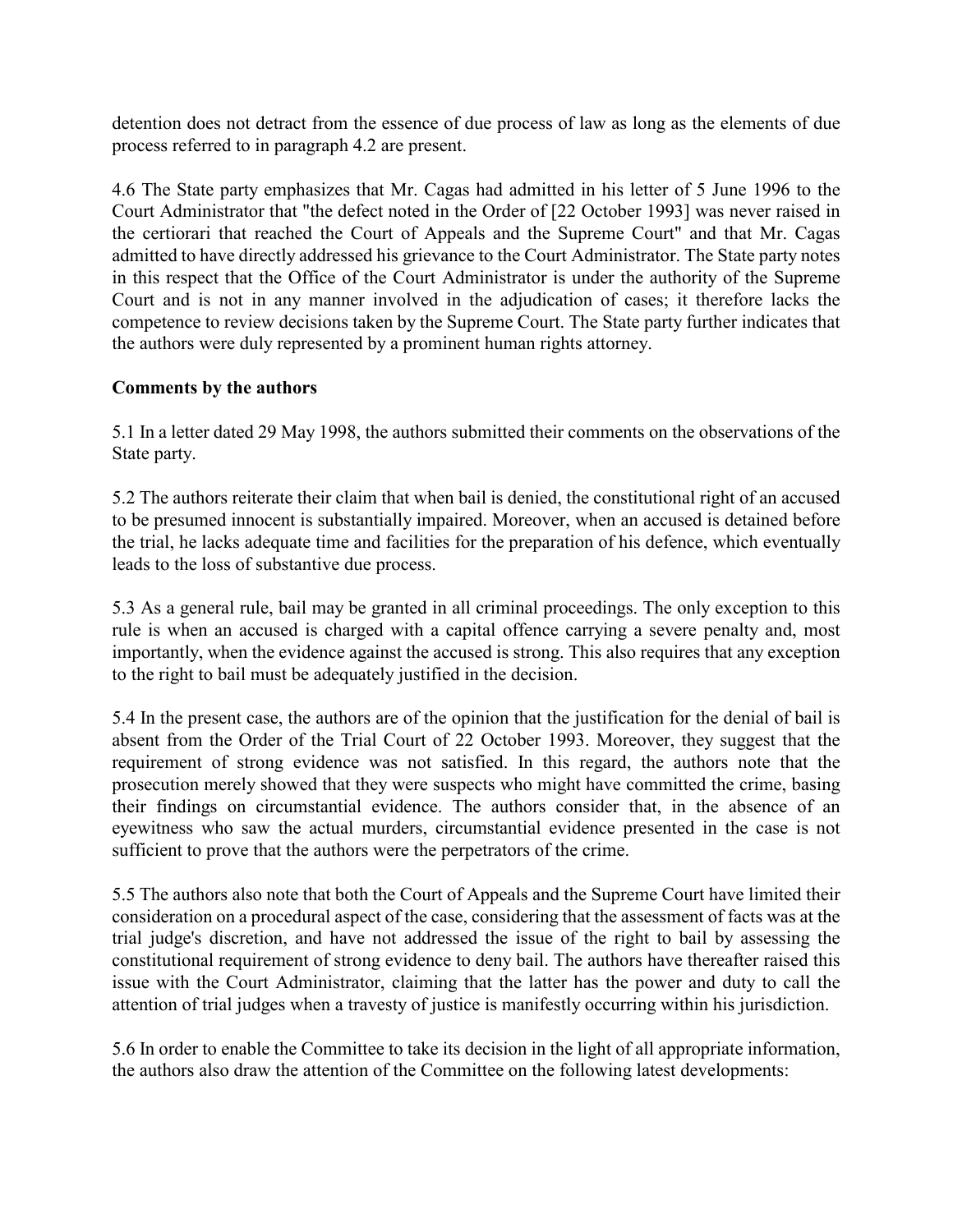detention does not detract from the essence of due process of law as long as the elements of due process referred to in paragraph 4.2 are present.

4.6 The State party emphasizes that Mr. Cagas had admitted in his letter of 5 June 1996 to the Court Administrator that "the defect noted in the Order of [22 October 1993] was never raised in the certiorari that reached the Court of Appeals and the Supreme Court" and that Mr. Cagas admitted to have directly addressed his grievance to the Court Administrator. The State party notes in this respect that the Office of the Court Administrator is under the authority of the Supreme Court and is not in any manner involved in the adjudication of cases; it therefore lacks the competence to review decisions taken by the Supreme Court. The State party further indicates that the authors were duly represented by a prominent human rights attorney.

## Comments by the authors

5.1 In a letter dated 29 May 1998, the authors submitted their comments on the observations of the State party.

5.2 The authors reiterate their claim that when bail is denied, the constitutional right of an accused to be presumed innocent is substantially impaired. Moreover, when an accused is detained before the trial, he lacks adequate time and facilities for the preparation of his defence, which eventually leads to the loss of substantive due process.

5.3 As a general rule, bail may be granted in all criminal proceedings. The only exception to this rule is when an accused is charged with a capital offence carrying a severe penalty and, most importantly, when the evidence against the accused is strong. This also requires that any exception to the right to bail must be adequately justified in the decision.

5.4 In the present case, the authors are of the opinion that the justification for the denial of bail is absent from the Order of the Trial Court of 22 October 1993. Moreover, they suggest that the requirement of strong evidence was not satisfied. In this regard, the authors note that the prosecution merely showed that they were suspects who might have committed the crime, basing their findings on circumstantial evidence. The authors consider that, in the absence of an eyewitness who saw the actual murders, circumstantial evidence presented in the case is not sufficient to prove that the authors were the perpetrators of the crime.

5.5 The authors also note that both the Court of Appeals and the Supreme Court have limited their consideration on a procedural aspect of the case, considering that the assessment of facts was at the trial judge's discretion, and have not addressed the issue of the right to bail by assessing the constitutional requirement of strong evidence to deny bail. The authors have thereafter raised this issue with the Court Administrator, claiming that the latter has the power and duty to call the attention of trial judges when a travesty of justice is manifestly occurring within his jurisdiction.

5.6 In order to enable the Committee to take its decision in the light of all appropriate information, the authors also draw the attention of the Committee on the following latest developments: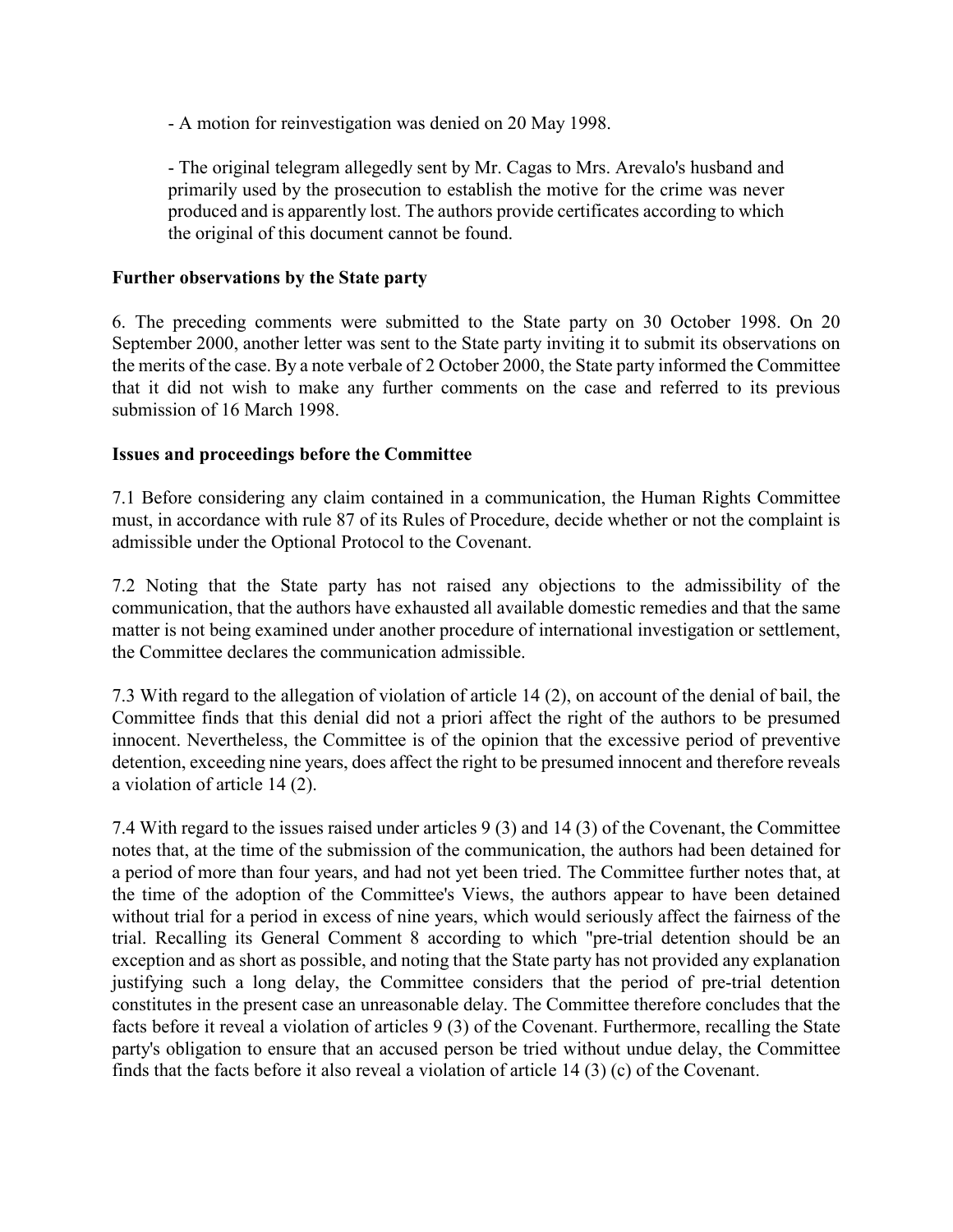- A motion for reinvestigation was denied on 20 May 1998.

- The original telegram allegedly sent by Mr. Cagas to Mrs. Arevalo's husband and primarily used by the prosecution to establish the motive for the crime was never produced and is apparently lost. The authors provide certificates according to which the original of this document cannot be found.

#### Further observations by the State party

6. The preceding comments were submitted to the State party on 30 October 1998. On 20 September 2000, another letter was sent to the State party inviting it to submit its observations on the merits of the case. By a note verbale of 2 October 2000, the State party informed the Committee that it did not wish to make any further comments on the case and referred to its previous submission of 16 March 1998.

#### Issues and proceedings before the Committee

7.1 Before considering any claim contained in a communication, the Human Rights Committee must, in accordance with rule 87 of its Rules of Procedure, decide whether or not the complaint is admissible under the Optional Protocol to the Covenant.

7.2 Noting that the State party has not raised any objections to the admissibility of the communication, that the authors have exhausted all available domestic remedies and that the same matter is not being examined under another procedure of international investigation or settlement, the Committee declares the communication admissible.

7.3 With regard to the allegation of violation of article 14 (2), on account of the denial of bail, the Committee finds that this denial did not a priori affect the right of the authors to be presumed innocent. Nevertheless, the Committee is of the opinion that the excessive period of preventive detention, exceeding nine years, does affect the right to be presumed innocent and therefore reveals a violation of article 14 (2).

7.4 With regard to the issues raised under articles 9 (3) and 14 (3) of the Covenant, the Committee notes that, at the time of the submission of the communication, the authors had been detained for a period of more than four years, and had not yet been tried. The Committee further notes that, at the time of the adoption of the Committee's Views, the authors appear to have been detained without trial for a period in excess of nine years, which would seriously affect the fairness of the trial. Recalling its General Comment 8 according to which "pre-trial detention should be an exception and as short as possible, and noting that the State party has not provided any explanation justifying such a long delay, the Committee considers that the period of pre-trial detention constitutes in the present case an unreasonable delay. The Committee therefore concludes that the facts before it reveal a violation of articles 9 (3) of the Covenant. Furthermore, recalling the State party's obligation to ensure that an accused person be tried without undue delay, the Committee finds that the facts before it also reveal a violation of article 14 (3) (c) of the Covenant.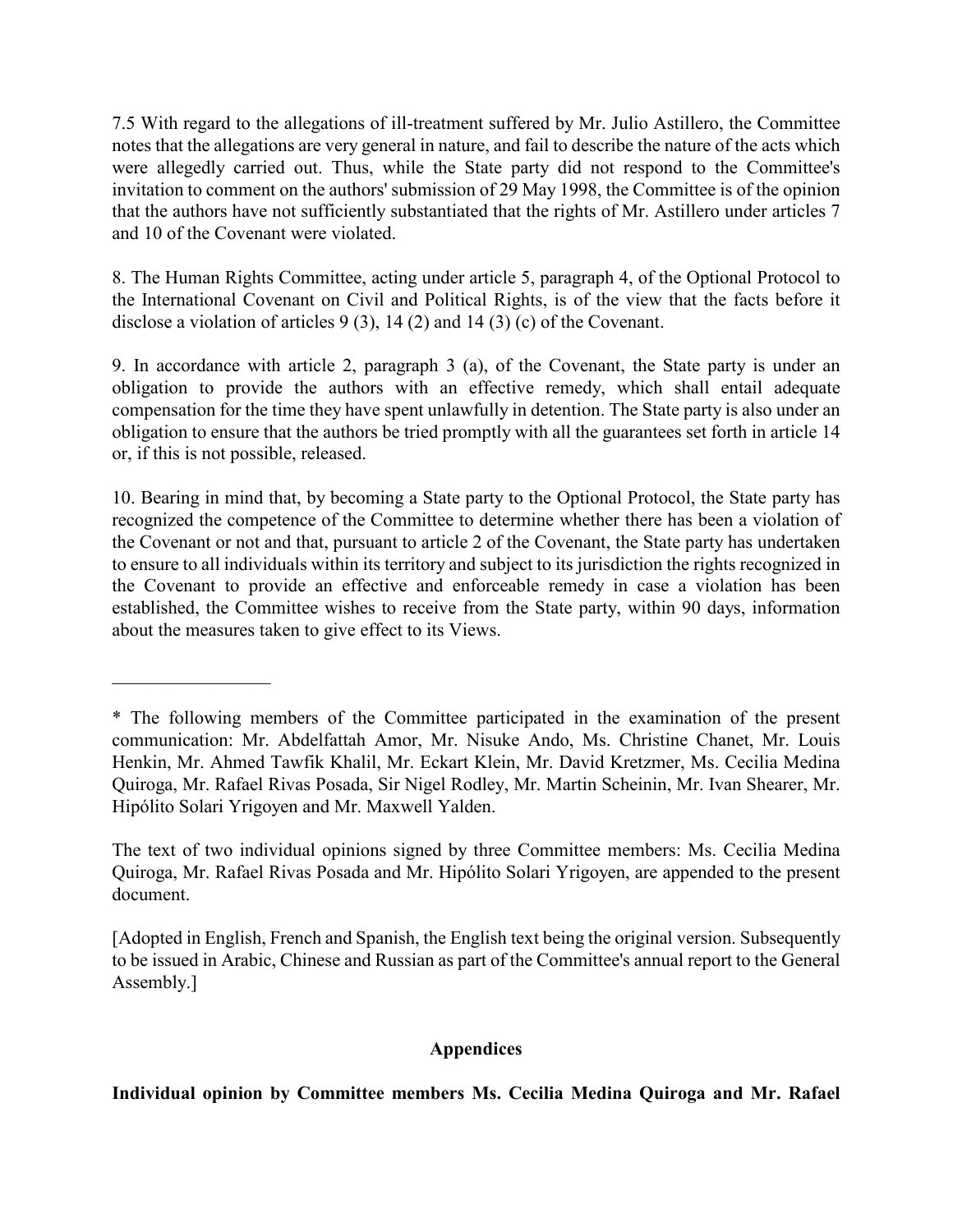7.5 With regard to the allegations of ill-treatment suffered by Mr. Julio Astillero, the Committee notes that the allegations are very general in nature, and fail to describe the nature of the acts which were allegedly carried out. Thus, while the State party did not respond to the Committee's invitation to comment on the authors' submission of 29 May 1998, the Committee is of the opinion that the authors have not sufficiently substantiated that the rights of Mr. Astillero under articles 7 and 10 of the Covenant were violated.

8. The Human Rights Committee, acting under article 5, paragraph 4, of the Optional Protocol to the International Covenant on Civil and Political Rights, is of the view that the facts before it disclose a violation of articles 9 (3), 14 (2) and 14 (3) (c) of the Covenant.

9. In accordance with article 2, paragraph 3 (a), of the Covenant, the State party is under an obligation to provide the authors with an effective remedy, which shall entail adequate compensation for the time they have spent unlawfully in detention. The State party is also under an obligation to ensure that the authors be tried promptly with all the guarantees set forth in article 14 or, if this is not possible, released.

10. Bearing in mind that, by becoming a State party to the Optional Protocol, the State party has recognized the competence of the Committee to determine whether there has been a violation of the Covenant or not and that, pursuant to article 2 of the Covenant, the State party has undertaken to ensure to all individuals within its territory and subject to its jurisdiction the rights recognized in the Covenant to provide an effective and enforceable remedy in case a violation has been established, the Committee wishes to receive from the State party, within 90 days, information about the measures taken to give effect to its Views.

 $\_$ 

## Appendices

# Individual opinion by Committee members Ms. Cecilia Medina Quiroga and Mr. Rafael

<sup>\*</sup> The following members of the Committee participated in the examination of the present communication: Mr. Abdelfattah Amor, Mr. Nisuke Ando, Ms. Christine Chanet, Mr. Louis Henkin, Mr. Ahmed Tawfik Khalil, Mr. Eckart Klein, Mr. David Kretzmer, Ms. Cecilia Medina Quiroga, Mr. Rafael Rivas Posada, Sir Nigel Rodley, Mr. Martin Scheinin, Mr. Ivan Shearer, Mr. Hipólito Solari Yrigoyen and Mr. Maxwell Yalden.

The text of two individual opinions signed by three Committee members: Ms. Cecilia Medina Quiroga, Mr. Rafael Rivas Posada and Mr. Hipólito Solari Yrigoyen, are appended to the present document.

<sup>[</sup>Adopted in English, French and Spanish, the English text being the original version. Subsequently to be issued in Arabic, Chinese and Russian as part of the Committee's annual report to the General Assembly.]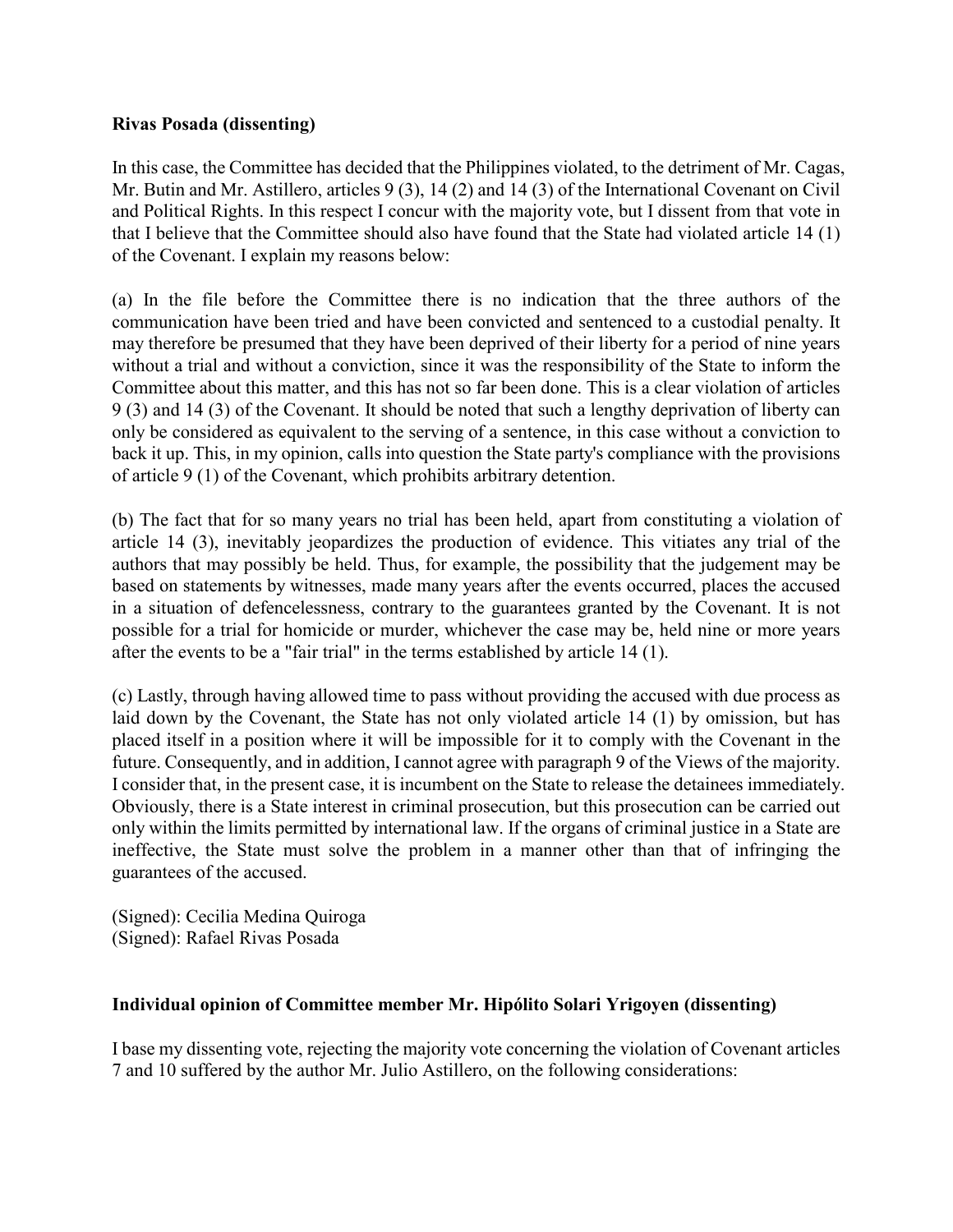#### Rivas Posada (dissenting)

In this case, the Committee has decided that the Philippines violated, to the detriment of Mr. Cagas, Mr. Butin and Mr. Astillero, articles 9 (3), 14 (2) and 14 (3) of the International Covenant on Civil and Political Rights. In this respect I concur with the majority vote, but I dissent from that vote in that I believe that the Committee should also have found that the State had violated article 14 (1) of the Covenant. I explain my reasons below:

(a) In the file before the Committee there is no indication that the three authors of the communication have been tried and have been convicted and sentenced to a custodial penalty. It may therefore be presumed that they have been deprived of their liberty for a period of nine years without a trial and without a conviction, since it was the responsibility of the State to inform the Committee about this matter, and this has not so far been done. This is a clear violation of articles 9 (3) and 14 (3) of the Covenant. It should be noted that such a lengthy deprivation of liberty can only be considered as equivalent to the serving of a sentence, in this case without a conviction to back it up. This, in my opinion, calls into question the State party's compliance with the provisions of article 9 (1) of the Covenant, which prohibits arbitrary detention.

(b) The fact that for so many years no trial has been held, apart from constituting a violation of article 14 (3), inevitably jeopardizes the production of evidence. This vitiates any trial of the authors that may possibly be held. Thus, for example, the possibility that the judgement may be based on statements by witnesses, made many years after the events occurred, places the accused in a situation of defencelessness, contrary to the guarantees granted by the Covenant. It is not possible for a trial for homicide or murder, whichever the case may be, held nine or more years after the events to be a "fair trial" in the terms established by article 14 (1).

(c) Lastly, through having allowed time to pass without providing the accused with due process as laid down by the Covenant, the State has not only violated article 14 (1) by omission, but has placed itself in a position where it will be impossible for it to comply with the Covenant in the future. Consequently, and in addition, I cannot agree with paragraph 9 of the Views of the majority. I consider that, in the present case, it is incumbent on the State to release the detainees immediately. Obviously, there is a State interest in criminal prosecution, but this prosecution can be carried out only within the limits permitted by international law. If the organs of criminal justice in a State are ineffective, the State must solve the problem in a manner other than that of infringing the guarantees of the accused.

(Signed): Cecilia Medina Quiroga (Signed): Rafael Rivas Posada

# Individual opinion of Committee member Mr. Hipólito Solari Yrigoyen (dissenting)

I base my dissenting vote, rejecting the majority vote concerning the violation of Covenant articles 7 and 10 suffered by the author Mr. Julio Astillero, on the following considerations: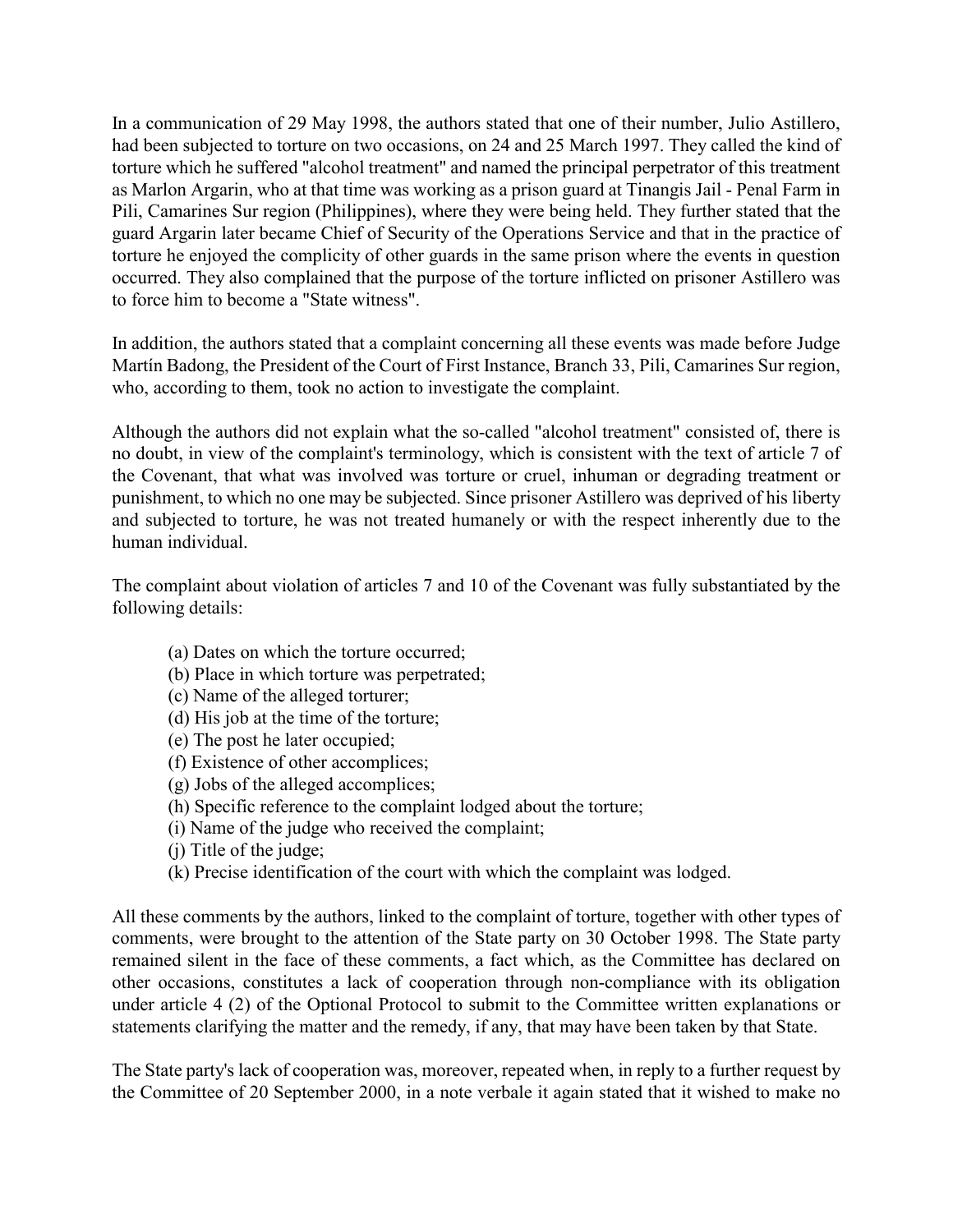In a communication of 29 May 1998, the authors stated that one of their number, Julio Astillero, had been subjected to torture on two occasions, on 24 and 25 March 1997. They called the kind of torture which he suffered "alcohol treatment" and named the principal perpetrator of this treatment as Marlon Argarin, who at that time was working as a prison guard at Tinangis Jail - Penal Farm in Pili, Camarines Sur region (Philippines), where they were being held. They further stated that the guard Argarin later became Chief of Security of the Operations Service and that in the practice of torture he enjoyed the complicity of other guards in the same prison where the events in question occurred. They also complained that the purpose of the torture inflicted on prisoner Astillero was to force him to become a "State witness".

In addition, the authors stated that a complaint concerning all these events was made before Judge Martín Badong, the President of the Court of First Instance, Branch 33, Pili, Camarines Sur region, who, according to them, took no action to investigate the complaint.

Although the authors did not explain what the so-called "alcohol treatment" consisted of, there is no doubt, in view of the complaint's terminology, which is consistent with the text of article 7 of the Covenant, that what was involved was torture or cruel, inhuman or degrading treatment or punishment, to which no one may be subjected. Since prisoner Astillero was deprived of his liberty and subjected to torture, he was not treated humanely or with the respect inherently due to the human individual.

The complaint about violation of articles 7 and 10 of the Covenant was fully substantiated by the following details:

- (a) Dates on which the torture occurred;
- (b) Place in which torture was perpetrated;
- (c) Name of the alleged torturer;
- (d) His job at the time of the torture;
- (e) The post he later occupied;
- (f) Existence of other accomplices;
- (g) Jobs of the alleged accomplices;
- (h) Specific reference to the complaint lodged about the torture;
- (i) Name of the judge who received the complaint;
- (j) Title of the judge;
- (k) Precise identification of the court with which the complaint was lodged.

All these comments by the authors, linked to the complaint of torture, together with other types of comments, were brought to the attention of the State party on 30 October 1998. The State party remained silent in the face of these comments, a fact which, as the Committee has declared on other occasions, constitutes a lack of cooperation through non-compliance with its obligation under article 4 (2) of the Optional Protocol to submit to the Committee written explanations or statements clarifying the matter and the remedy, if any, that may have been taken by that State.

The State party's lack of cooperation was, moreover, repeated when, in reply to a further request by the Committee of 20 September 2000, in a note verbale it again stated that it wished to make no